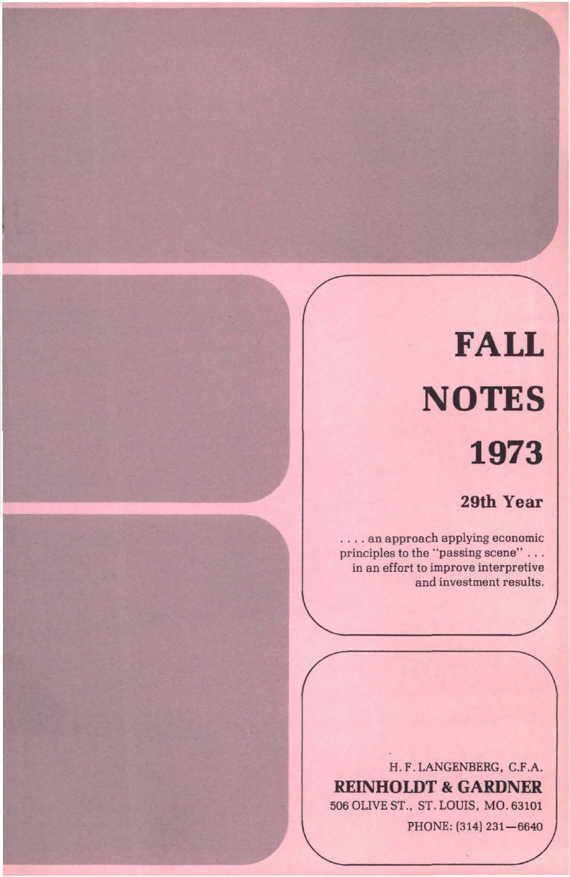## **FALL NOTES 1973**

## **29th Year**

.... an approach applying economic principles to the "passing scene" .. . in an effort to improve interpretive and investment results.

H. F. LANGENBERG, C.F.A. **REINHOLDT & GARDNER**  506 OLIVE ST., ST. LOUIS, MO. 63101 PHONE: (314) 231-6640